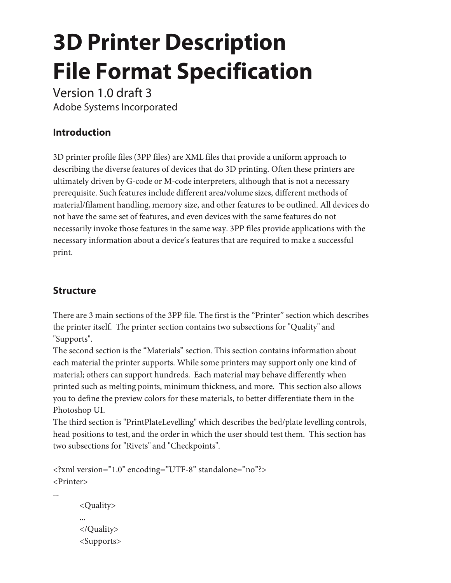# **3D Printer Description File Format Specification**

Version 1.0 draft 3 Adobe Systems Incorporated

## **Introduction**

3D printer profile files (3PP files) are XML files that provide a uniform approach to describing the diverse features of devices that do 3D printing. Often these printers are ultimately driven by G-code or M-code interpreters, although that is not a necessary prerequisite. Such features include different area/volume sizes, different methods of material/filament handling, memory size, and other features to be outlined. All devices do not have the same set of features, and even devices with the same features do not necessarily invoke those features in the same way. 3PP files provide applications with the necessary information about a device's features that are required to make a successful print.

## **Structure**

There are 3 main sections of the 3PP file. The first is the "Printer" section which describes the printer itself. The printer section contains two subsections for "Quality" and "Supports".

The second section is the "Materials" section. This section contains information about each material the printer supports. While some printers may support only one kind of material; others can support hundreds. Each material may behave differently when printed such as melting points, minimum thickness, and more. This section also allows you to define the preview colors for these materials, to better differentiate them in the Photoshop UI.

The third section is "PrintPlateLevelling" which describes the bed/plate levelling controls, head positions to test, and the order in which the user should test them. This section has two subsections for "Rivets" and "Checkpoints".

```
<?xml version="1.0" encoding="UTF-8" standalone="no"?>
<Printer>
...
       <Quality>
       ...
       </Quality>
       <Supports>
```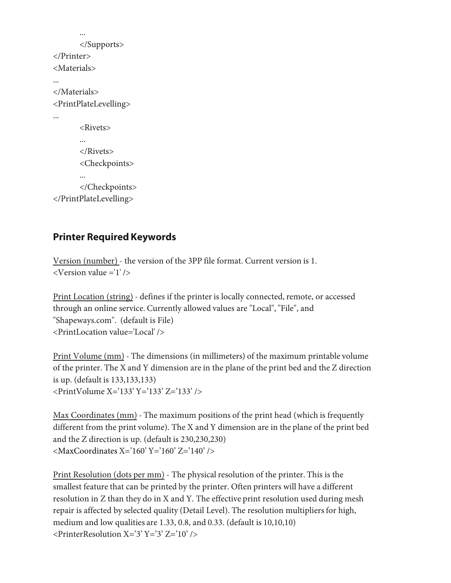```
...
       </Supports>
</Printer>
<Materials>
...
</Materials>
<PrintPlateLevelling>
...
       <Rivets>
       ...
       </Rivets>
       <Checkpoints>
       ...
       </Checkpoints>
</PrintPlateLevelling>
```
#### **Printer Required Keywords**

Version (number) - the version of the 3PP file format. Current version is 1. <Version value ='1' />

Print Location (string) - defines if the printer is locally connected, remote, or accessed through an online service. Currently allowed values are "Local", "File", and "Shapeways.com". (default is File) <PrintLocation value='Local' />

Print Volume (mm) - The dimensions (in millimeters) of the maximum printable volume of the printer. The X and Y dimension are in the plane of the print bed and the Z direction is up. (default is 133,133,133) <PrintVolume X='133' Y='133' Z='133' />

Max Coordinates (mm) - The maximum positions of the print head (which is frequently different from the print volume). The X and Y dimension are in the plane of the print bed and the Z direction is up. (default is 230,230,230)  $\langle$ MaxCoordinates X='160' Y='160' Z='140' />

Print Resolution (dots per mm) - The physical resolution of the printer. This is the smallest feature that can be printed by the printer. Often printers will have a different resolution in Z than they do in X and Y. The effective print resolution used during mesh repair is affected by selected quality (Detail Level). The resolution multipliers for high, medium and low qualities are 1.33, 0.8, and 0.33. (default is 10,10,10)  $\langle$ PrinterResolution X='3' Y='3' Z='10' />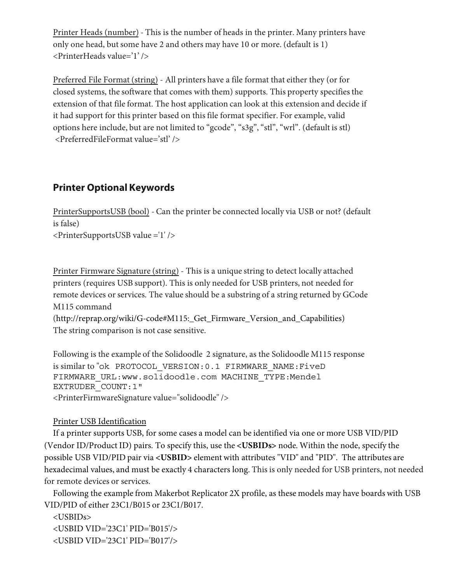Printer Heads (number) - This is the number of heads in the printer. Many printers have only one head, but some have 2 and others may have 10 or more. (default is 1) <PrinterHeads value='1' />

Preferred File Format (string) - All printers have a file format that either they (or for closed systems, the software that comes with them) supports. This property specifies the extension of that file format. The host application can look at this extension and decide if it had support for this printer based on this file format specifier. For example, valid options here include, but are not limited to "gcode", "s3g", "stl", "wrl". (default is stl) <PreferredFileFormat value='stl' />

## **Printer Optional Keywords**

PrinterSupportsUSB (bool) - Can the printer be connected locally via USB or not? (default is false) <PrinterSupportsUSB value ='1' />

Printer Firmware Signature (string) - This is a unique string to detect locally attached printers (requires USB support). This is only needed for USB printers, not needed for remote devices or services. The value should be a substring of a string returned by GCode M115 command

(http://reprap.org/wiki/G-code#M115:\_Get\_Firmware\_Version\_and\_Capabilities) The string comparison is not case sensitive.

Following is the example of the Solidoodle 2 signature, as the Solidoodle M115 response is similar to "ok PROTOCOL\_VERSION:0.1 FIRMWARE\_NAME:FiveD FIRMWARE\_URL:www.solidoodle.com MACHINE\_TYPE:Mendel EXTRUDER\_COUNT:1" <PrinterFirmwareSignature value="solidoodle" />

#### Printer USB Identification

If a printer supports USB, for some cases a model can be identified via one or more USB VID/PID (Vendor ID/Product ID) pairs. To specify this, use the **<USBIDs>** node. Within the node, specify the possible USB VID/PID pair via **<USBID>** element with attributes "VID" and "PID". The attributes are hexadecimal values, and must be exactly 4 characters long. This is only needed for USB printers, not needed for remote devices or services.

Following the example from Makerbot Replicator 2X profile, as these models may have boards with USB VID/PID of either 23C1/B015 or 23C1/B017.

<USBIDs> <USBID VID='23C1' PID='B015'/> <USBID VID='23C1' PID='B017'/>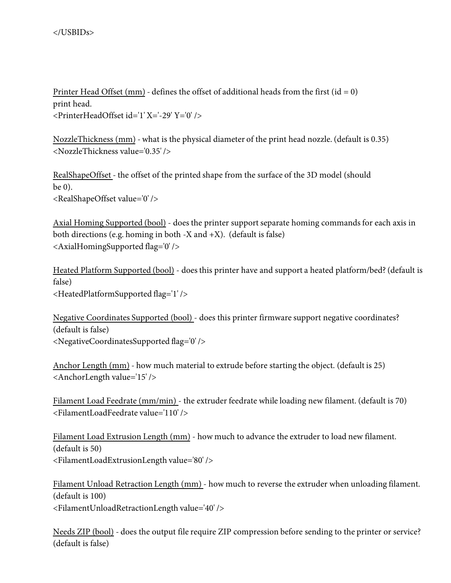Printer Head Offset (mm) - defines the offset of additional heads from the first ( $id = 0$ ) print head. <PrinterHeadOffset id='1' X='-29' Y='0' />

NozzleThickness (mm) - what is the physical diameter of the print head nozzle. (default is 0.35) <NozzleThickness value='0.35' />

RealShapeOffset - the offset of the printed shape from the surface of the 3D model (should be 0). <RealShapeOffset value='0' />

Axial Homing Supported (bool) - does the printer support separate homing commands for each axis in both directions (e.g. homing in both -X and  $+X$ ). (default is false) <AxialHomingSupported flag='0' />

Heated Platform Supported (bool) - does this printer have and support a heated platform/bed? (default is false) <HeatedPlatformSupported flag='1' />

Negative Coordinates Supported (bool) - does this printer firmware support negative coordinates? (default is false) <NegativeCoordinatesSupported flag='0' />

Anchor Length (mm) - how much material to extrude before starting the object. (default is 25) <AnchorLength value='15' />

Filament Load Feedrate (mm/min) - the extruder feedrate while loading new filament. (default is 70) <FilamentLoadFeedrate value='110' />

Filament Load Extrusion Length (mm) - how much to advance the extruder to load new filament. (default is 50) <FilamentLoadExtrusionLength value='80' />

Filament Unload Retraction Length (mm) - how much to reverse the extruder when unloading filament. (default is 100) <FilamentUnloadRetractionLength value='40' />

Needs ZIP (bool) - does the output file require ZIP compression before sending to the printer or service? (default is false)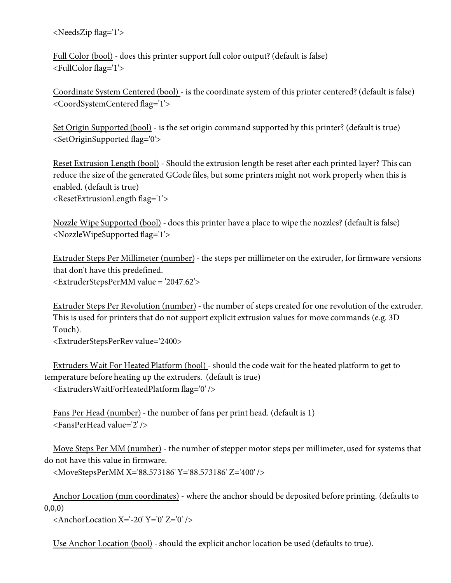<NeedsZip flag='1'>

Full Color (bool) - does this printer support full color output? (default is false) <FullColor flag='1'>

Coordinate System Centered (bool) - is the coordinate system of this printer centered? (default is false) <CoordSystemCentered flag='1'>

Set Origin Supported (bool) - is the set origin command supported by this printer? (default is true) <SetOriginSupported flag='0'>

Reset Extrusion Length (bool) - Should the extrusion length be reset after each printed layer? This can reduce the size of the generated GCode files, but some printers might not work properly when this is enabled. (default is true) <ResetExtrusionLength flag='1'>

Nozzle Wipe Supported (bool) - does this printer have a place to wipe the nozzles? (default is false) <NozzleWipeSupported flag='1'>

Extruder Steps Per Millimeter (number) - the steps per millimeter on the extruder, for firmware versions that don't have this predefined. <ExtruderStepsPerMM value = '2047.62'>

Extruder Steps Per Revolution (number) - the number of steps created for one revolution of the extruder. This is used for printers that do not support explicit extrusion values for move commands (e.g. 3D Touch).

<ExtruderStepsPerRev value='2400>

Extruders Wait For Heated Platform (bool) - should the code wait for the heated platform to get to temperature before heating up the extruders. (default is true)

<ExtrudersWaitForHeatedPlatform flag='0' />

Fans Per Head (number) - the number of fans per print head. (default is 1) <FansPerHead value='2' />

Move Steps Per MM (number) - the number of stepper motor steps per millimeter, used for systems that do not have this value in firmware.

<MoveStepsPerMM X='88.573186' Y='88.573186' Z='400' />

Anchor Location (mm coordinates) - where the anchor should be deposited before printing. (defaults to 0,0,0)

 $\alpha$  <AnchorLocation X='-20' Y='0' Z='0' />

Use Anchor Location (bool) - should the explicit anchor location be used (defaults to true).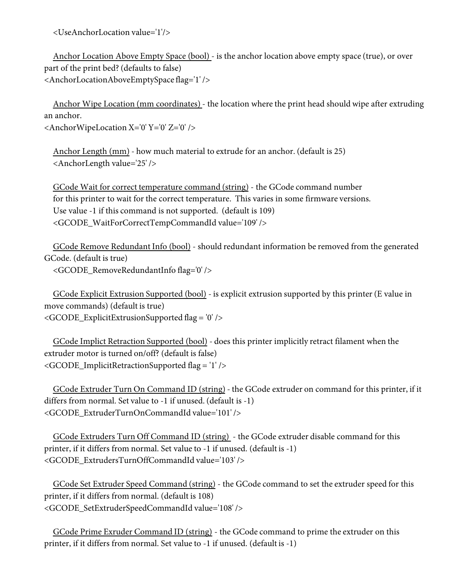<UseAnchorLocation value='1'/>

Anchor Location Above Empty Space (bool) - is the anchor location above empty space (true), or over part of the print bed? (defaults to false) <AnchorLocationAboveEmptySpace flag='1' />

Anchor Wipe Location (mm coordinates) - the location where the print head should wipe after extruding an anchor.

<AnchorWipeLocation X='0' Y='0' Z='0' />

Anchor Length (mm) - how much material to extrude for an anchor. (default is 25) <AnchorLength value='25' />

GCode Wait for correct temperature command (string) - the GCode command number for this printer to wait for the correct temperature. This varies in some firmware versions. Use value -1 if this command is not supported. (default is 109) <GCODE\_WaitForCorrectTempCommandId value='109' />

GCode Remove Redundant Info (bool) - should redundant information be removed from the generated GCode. (default is true)

<GCODE\_RemoveRedundantInfo flag='0' />

GCode Explicit Extrusion Supported (bool) - is explicit extrusion supported by this printer (E value in move commands) (default is true) <GCODE\_ExplicitExtrusionSupported flag = '0' />

GCode Implict Retraction Supported (bool) - does this printer implicitly retract filament when the extruder motor is turned on/off? (default is false) <GCODE\_ImplicitRetractionSupported flag = '1' />

GCode Extruder Turn On Command ID (string) - the GCode extruder on command for this printer, if it differs from normal. Set value to -1 if unused. (default is -1) <GCODE\_ExtruderTurnOnCommandId value='101' />

GCode Extruders Turn Off Command ID (string) - the GCode extruder disable command for this printer, if it differs from normal. Set value to -1 if unused. (default is -1) <GCODE\_ExtrudersTurnOffCommandId value='103' />

GCode Set Extruder Speed Command (string) - the GCode command to set the extruder speed for this printer, if it differs from normal. (default is 108) <GCODE\_SetExtruderSpeedCommandId value='108' />

GCode Prime Exruder Command ID (string) - the GCode command to prime the extruder on this printer, if it differs from normal. Set value to -1 if unused. (default is -1)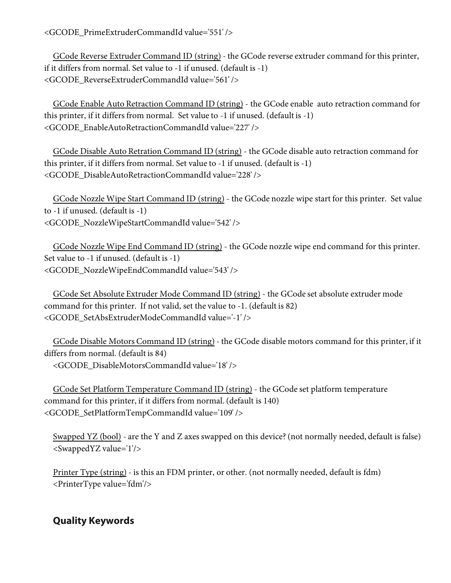<GCODE\_PrimeExtruderCommandId value='551' />

GCode Reverse Extruder Command ID (string) - the GCode reverse extruder command for this printer, if it differs from normal. Set value to -1 if unused. (default is -1) <GCODE\_ReverseExtruderCommandId value='561' />

GCode Enable Auto Retraction Command ID (string) - the GCode enable auto retraction command for this printer, if it differs from normal. Set value to -1 if unused. (default is -1) <GCODE\_EnableAutoRetractionCommandId value='227' />

GCode Disable Auto Retration Command ID (string) - the GCode disable auto retraction command for this printer, if it differs from normal. Set value to -1 if unused. (default is -1) <GCODE\_DisableAutoRetractionCommandId value='228' />

GCode Nozzle Wipe Start Command ID (string) - the GCode nozzle wipe start for this printer. Set value to -1 if unused. (default is -1) <GCODE\_NozzleWipeStartCommandId value='542' />

GCode Nozzle Wipe End Command ID (string) - the GCode nozzle wipe end command for this printer. Set value to -1 if unused. (default is -1) <GCODE\_NozzleWipeEndCommandId value='543' />

GCode Set Absolute Extruder Mode Command ID (string) - the GCode set absolute extruder mode command for this printer. If not valid, set the value to -1. (default is 82) <GCODE\_SetAbsExtruderModeCommandId value='-1' />

GCode Disable Motors Command ID (string) - the GCode disable motors command for this printer, if it differs from normal. (default is 84)

<GCODE\_DisableMotorsCommandId value='18' />

GCode Set Platform Temperature Command ID (string) - the GCode set platform temperature command for this printer, if it differs from normal. (default is 140) <GCODE\_SetPlatformTempCommandId value='109' />

Swapped YZ (bool) - are the Y and Z axes swapped on this device? (not normally needed, default is false) <SwappedYZ value='1'/>

Printer Type (string) - is this an FDM printer, or other. (not normally needed, default is fdm) <PrinterType value='fdm'/>

## **Quality Keywords**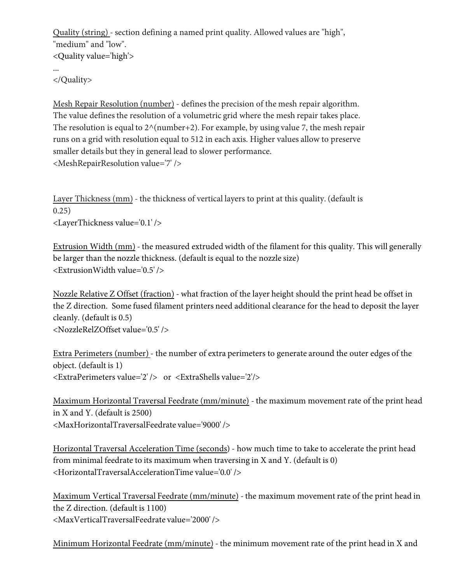Quality (string) - section defining a named print quality. Allowed values are "high", "medium" and "low". <Quality value='high'> ...

</Quality>

Mesh Repair Resolution (number) - defines the precision of the mesh repair algorithm. The value defines the resolution of a volumetric grid where the mesh repair takes place. The resolution is equal to  $2^\wedge$ (number+2). For example, by using value 7, the mesh repair runs on a grid with resolution equal to 512 in each axis. Higher values allow to preserve smaller details but they in general lead to slower performance. <MeshRepairResolution value='7' />

Layer Thickness (mm) - the thickness of vertical layers to print at this quality. (default is 0.25) <LayerThickness value='0.1' />

Extrusion Width (mm) - the measured extruded width of the filament for this quality. This will generally be larger than the nozzle thickness. (default is equal to the nozzle size) <ExtrusionWidth value='0.5' />

Nozzle Relative Z Offset (fraction) - what fraction of the layer height should the print head be offset in the Z direction. Some fused filament printers need additional clearance for the head to deposit the layer cleanly. (default is 0.5) <NozzleRelZOffset value='0.5' />

Extra Perimeters (number) - the number of extra perimeters to generate around the outer edges of the object. (default is 1) <ExtraPerimeters value='2' /> or <ExtraShells value='2'/>

Maximum Horizontal Traversal Feedrate (mm/minute) - the maximum movement rate of the print head in X and Y. (default is 2500) <MaxHorizontalTraversalFeedrate value='9000' />

Horizontal Traversal Acceleration Time (seconds) - how much time to take to accelerate the print head from minimal feedrate to its maximum when traversing in X and Y. (default is 0) <HorizontalTraversalAccelerationTime value='0.0' />

Maximum Vertical Traversal Feedrate (mm/minute) - the maximum movement rate of the print head in the Z direction. (default is 1100) <MaxVerticalTraversalFeedrate value='2000' />

Minimum Horizontal Feedrate (mm/minute) - the minimum movement rate of the print head in X and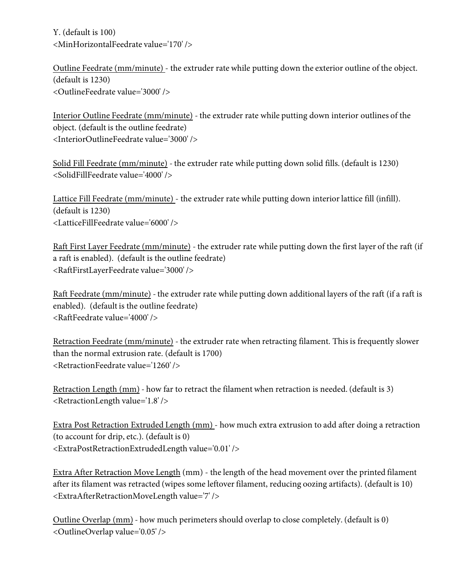Y. (default is 100) <MinHorizontalFeedrate value='170' />

Outline Feedrate (mm/minute) - the extruder rate while putting down the exterior outline of the object. (default is 1230) <OutlineFeedrate value='3000' />

Interior Outline Feedrate (mm/minute) - the extruder rate while putting down interior outlines of the object. (default is the outline feedrate) <InteriorOutlineFeedrate value='3000' />

Solid Fill Feedrate (mm/minute) - the extruder rate while putting down solid fills. (default is 1230) <SolidFillFeedrate value='4000' />

Lattice Fill Feedrate (mm/minute) - the extruder rate while putting down interior lattice fill (infill). (default is 1230) <LatticeFillFeedrate value='6000' />

Raft First Layer Feedrate (mm/minute) - the extruder rate while putting down the first layer of the raft (if a raft is enabled). (default is the outline feedrate) <RaftFirstLayerFeedrate value='3000' />

Raft Feedrate (mm/minute) - the extruder rate while putting down additional layers of the raft (if a raft is enabled). (default is the outline feedrate) <RaftFeedrate value='4000' />

Retraction Feedrate (mm/minute) - the extruder rate when retracting filament. This is frequently slower than the normal extrusion rate. (default is 1700) <RetractionFeedrate value='1260' />

Retraction Length (mm) - how far to retract the filament when retraction is needed. (default is 3) <RetractionLength value='1.8' />

Extra Post Retraction Extruded Length (mm) - how much extra extrusion to add after doing a retraction (to account for drip, etc.). (default is 0) <ExtraPostRetractionExtrudedLength value='0.01' />

Extra After Retraction Move Length (mm) - the length of the head movement over the printed filament after its filament was retracted (wipes some leftover filament, reducing oozing artifacts). (default is 10) <ExtraAfterRetractionMoveLength value='7' />

Outline Overlap (mm) - how much perimeters should overlap to close completely. (default is 0) <OutlineOverlap value='0.05' />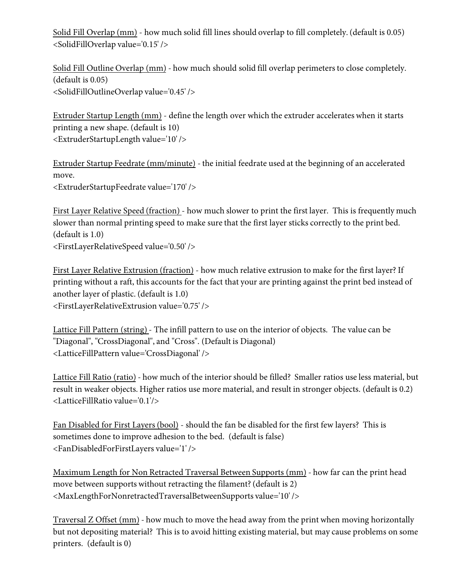Solid Fill Overlap (mm) - how much solid fill lines should overlap to fill completely. (default is 0.05) <SolidFillOverlap value='0.15' />

Solid Fill Outline Overlap (mm) - how much should solid fill overlap perimeters to close completely. (default is 0.05) <SolidFillOutlineOverlap value='0.45' />

Extruder Startup Length (mm) - define the length over which the extruder accelerates when it starts printing a new shape. (default is 10) <ExtruderStartupLength value='10' />

Extruder Startup Feedrate (mm/minute) - the initial feedrate used at the beginning of an accelerated move. <ExtruderStartupFeedrate value='170' />

First Layer Relative Speed (fraction) - how much slower to print the first layer. This is frequently much slower than normal printing speed to make sure that the first layer sticks correctly to the print bed. (default is 1.0) <FirstLayerRelativeSpeed value='0.50' />

First Layer Relative Extrusion (fraction) - how much relative extrusion to make for the first layer? If printing without a raft, this accounts for the fact that your are printing against the print bed instead of another layer of plastic. (default is 1.0) <FirstLayerRelativeExtrusion value='0.75' />

Lattice Fill Pattern (string) - The infill pattern to use on the interior of objects. The value can be "Diagonal", "CrossDiagonal", and "Cross". (Default is Diagonal) <LatticeFillPattern value='CrossDiagonal' />

Lattice Fill Ratio (ratio) - how much of the interior should be filled? Smaller ratios use less material, but result in weaker objects. Higher ratios use more material, and result in stronger objects. (default is 0.2) <LatticeFillRatio value='0.1'/>

Fan Disabled for First Layers (bool) - should the fan be disabled for the first few layers? This is sometimes done to improve adhesion to the bed. (default is false) <FanDisabledForFirstLayers value='1' />

Maximum Length for Non Retracted Traversal Between Supports (mm) - how far can the print head move between supports without retracting the filament? (default is 2) <MaxLengthForNonretractedTraversalBetweenSupports value='10' />

Traversal Z Offset (mm) - how much to move the head away from the print when moving horizontally but not depositing material? This is to avoid hitting existing material, but may cause problems on some printers. (default is 0)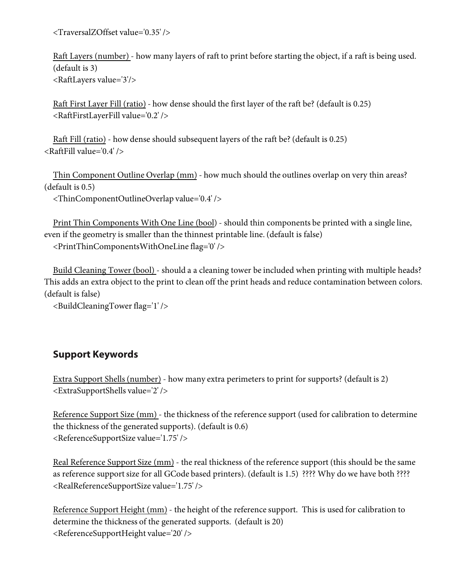<TraversalZOffset value='0.35' />

Raft Layers (number) - how many layers of raft to print before starting the object, if a raft is being used. (default is 3) <RaftLayers value='3'/>

Raft First Layer Fill (ratio) - how dense should the first layer of the raft be? (default is 0.25) <RaftFirstLayerFill value='0.2' />

Raft Fill (ratio) - how dense should subsequent layers of the raft be? (default is 0.25)  $\langle$ RaftFill value='0.4' />

Thin Component Outline Overlap (mm) - how much should the outlines overlap on very thin areas? (default is 0.5)

<ThinComponentOutlineOverlap value='0.4' />

Print Thin Components With One Line (bool) - should thin components be printed with a single line, even if the geometry is smaller than the thinnest printable line. (default is false) <PrintThinComponentsWithOneLine flag='0' />

Build Cleaning Tower (bool) - should a a cleaning tower be included when printing with multiple heads? This adds an extra object to the print to clean off the print heads and reduce contamination between colors. (default is false)

<BuildCleaningTower flag='1' />

#### **Support Keywords**

Extra Support Shells (number) - how many extra perimeters to print for supports? (default is 2) <ExtraSupportShells value='2' />

Reference Support Size (mm) - the thickness of the reference support (used for calibration to determine the thickness of the generated supports). (default is 0.6) <ReferenceSupportSize value='1.75' />

Real Reference Support Size (mm) - the real thickness of the reference support (this should be the same as reference support size for all GCode based printers). (default is 1.5) ???? Why do we have both ???? <RealReferenceSupportSize value='1.75' />

Reference Support Height (mm) - the height of the reference support. This is used for calibration to determine the thickness of the generated supports. (default is 20) <ReferenceSupportHeight value='20' />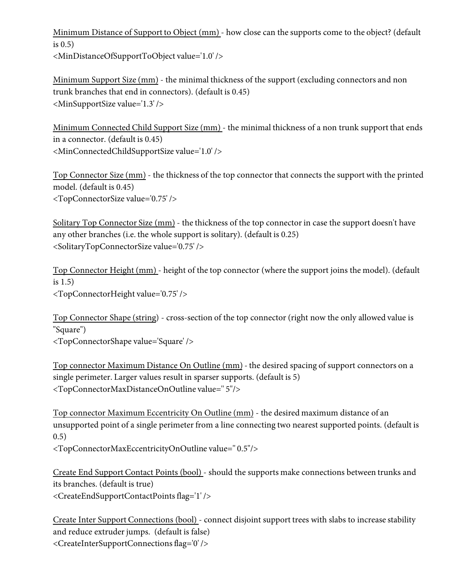Minimum Distance of Support to Object (mm) - how close can the supports come to the object? (default is 0.5)

<MinDistanceOfSupportToObject value='1.0' />

Minimum Support Size (mm) - the minimal thickness of the support (excluding connectors and non trunk branches that end in connectors). (default is 0.45) <MinSupportSize value='1.3' />

Minimum Connected Child Support Size (mm) - the minimal thickness of a non trunk support that ends in a connector. (default is 0.45) <MinConnectedChildSupportSize value='1.0' />

Top Connector Size (mm) - the thickness of the top connector that connects the support with the printed model. (default is 0.45) <TopConnectorSize value='0.75' />

Solitary Top Connector Size (mm) - the thickness of the top connector in case the support doesn't have any other branches (i.e. the whole support is solitary). (default is 0.25) <SolitaryTopConnectorSize value='0.75' />

Top Connector Height (mm) - height of the top connector (where the support joins the model). (default is 1.5) <TopConnectorHeight value='0.75' />

Top Connector Shape (string) - cross-section of the top connector (right now the only allowed value is "Square") <TopConnectorShape value='Square' />

Top connector Maximum Distance On Outline (mm) - the desired spacing of support connectors on a single perimeter. Larger values result in sparser supports. (default is 5) <TopConnectorMaxDistanceOnOutline value='' 5"/>

Top connector Maximum Eccentricity On Outline (mm) - the desired maximum distance of an unsupported point of a single perimeter from a line connecting two nearest supported points. (default is 0.5)

<TopConnectorMaxEccentricityOnOutline value='' 0.5"/>

Create End Support Contact Points (bool) - should the supports make connections between trunks and its branches. (default is true) <CreateEndSupportContactPoints flag='1' />

Create Inter Support Connections (bool) - connect disjoint support trees with slabs to increase stability and reduce extruder jumps. (default is false) <CreateInterSupportConnections flag='0' />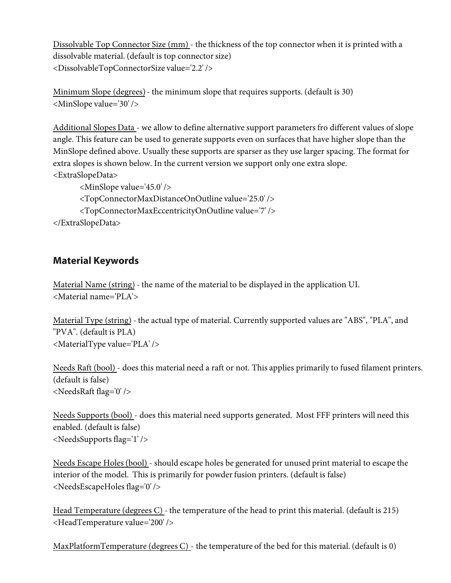Dissolvable Top Connector Size (mm) - the thickness of the top connector when it is printed with a dissolvable material. (default is top connector size) <DissolvableTopConnectorSize value='2.2' />

Minimum Slope (degrees) - the minimum slope that requires supports. (default is 30) <MinSlope value='30' />

Additional Slopes Data - we allow to define alternative support parameters fro different values of slope angle. This feature can be used to generate supports even on surfaces that have higher slope than the MinSlope defined above. Usually these supports are sparser as they use larger spacing. The format for extra slopes is shown below. In the current version we support only one extra slope. <ExtraSlopeData>

```
<MinSlope value='45.0' />
       <TopConnectorMaxDistanceOnOutline value='25.0' /> 
       <TopConnectorMaxEccentricityOnOutline value='7' />
</ExtraSlopeData>
```
## **Material Keywords**

Material Name (string) - the name of the material to be displayed in the application UI. <Material name='PLA'>

Material Type (string) - the actual type of material. Currently supported values are "ABS", "PLA", and "PVA". (default is PLA) <MaterialType value='PLA' />

Needs Raft (bool) - does this material need a raft or not. This applies primarily to fused filament printers. (default is false) <NeedsRaft flag='0' />

Needs Supports (bool) - does this material need supports generated. Most FFF printers will need this enabled. (default is false) <NeedsSupports flag='1' />

Needs Escape Holes (bool) - should escape holes be generated for unused print material to escape the interior of the model. This is primarily for powder fusion printers. (default is false) <NeedsEscapeHoles flag='0' />

Head Temperature (degrees C) - the temperature of the head to print this material. (default is 215) <HeadTemperature value='200' />

MaxPlatformTemperature (degrees  $C$ ) - the temperature of the bed for this material. (default is 0)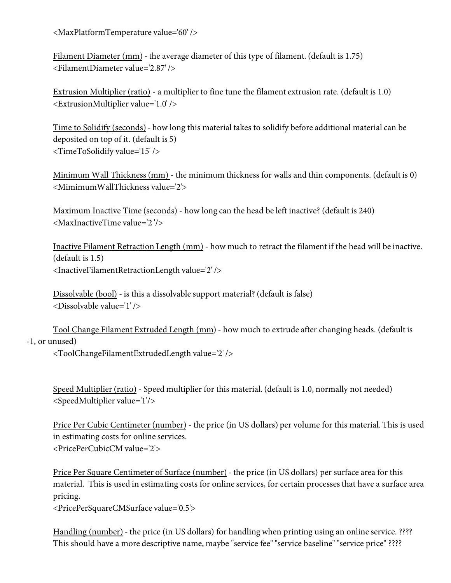<MaxPlatformTemperature value='60' />

Filament Diameter (mm) - the average diameter of this type of filament. (default is 1.75) <FilamentDiameter value='2.87' />

Extrusion Multiplier (ratio) - a multiplier to fine tune the filament extrusion rate. (default is 1.0) <ExtrusionMultiplier value='1.0' />

Time to Solidify (seconds) - how long this material takes to solidify before additional material can be deposited on top of it. (default is 5) <TimeToSolidify value='15' />

Minimum Wall Thickness (mm) - the minimum thickness for walls and thin components. (default is 0) <MimimumWallThickness value='2'>

Maximum Inactive Time (seconds) - how long can the head be left inactive? (default is 240) <MaxInactiveTime value='2 '/>

Inactive Filament Retraction Length (mm) - how much to retract the filament if the head will be inactive. (default is 1.5) <InactiveFilamentRetractionLength value='2' />

Dissolvable (bool) - is this a dissolvable support material? (default is false) <Dissolvable value='1' />

Tool Change Filament Extruded Length (mm) - how much to extrude after changing heads. (default is -1, or unused)

<ToolChangeFilamentExtrudedLength value='2' />

Speed Multiplier (ratio) - Speed multiplier for this material. (default is 1.0, normally not needed) <SpeedMultiplier value='1'/>

Price Per Cubic Centimeter (number) - the price (in US dollars) per volume for this material. This is used in estimating costs for online services. <PricePerCubicCM value='2'>

Price Per Square Centimeter of Surface (number) - the price (in US dollars) per surface area for this material. This is used in estimating costs for online services, for certain processes that have a surface area pricing.

<PricePerSquareCMSurface value='0.5'>

Handling (number) - the price (in US dollars) for handling when printing using an online service. ???? This should have a more descriptive name, maybe "service fee" "service baseline" "service price" ????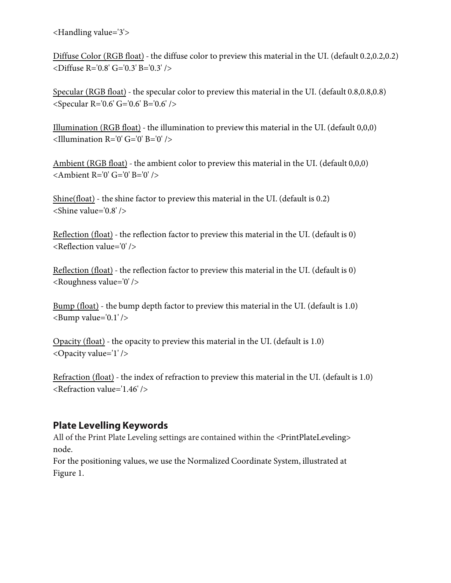<Handling value='3'>

Diffuse Color (RGB float) - the diffuse color to preview this material in the UI. (default 0.2,0.2,0.2) <Diffuse R='0.8' G='0.3' B='0.3' />

Specular (RGB float) - the specular color to preview this material in the UI. (default 0.8,0.8,0.8) <Specular R='0.6' G='0.6' B='0.6' />

Illumination (RGB float) - the illumination to preview this material in the UI. (default 0,0,0) <Illumination R='0' G='0' B='0' />

Ambient (RGB float) - the ambient color to preview this material in the UI. (default 0,0,0) <Ambient R='0' G='0' B='0' />

Shine(float) - the shine factor to preview this material in the UI. (default is 0.2) <Shine value='0.8' />

Reflection (float) - the reflection factor to preview this material in the UI. (default is 0) <Reflection value='0' />

Reflection (float) - the reflection factor to preview this material in the UI. (default is 0) <Roughness value='0' />

Bump (float) - the bump depth factor to preview this material in the UI. (default is 1.0)  $$\text{Bump}$  value='0.1' />

Opacity (float) - the opacity to preview this material in the UI. (default is 1.0) <Opacity value='1' />

Refraction (float) - the index of refraction to preview this material in the UI. (default is 1.0) <Refraction value='1.46' />

#### **Plate Levelling Keywords**

All of the Print Plate Leveling settings are contained within the <PrintPlateLeveling> node.

For the positioning values, we use the Normalized Coordinate System, illustrated at Figure 1.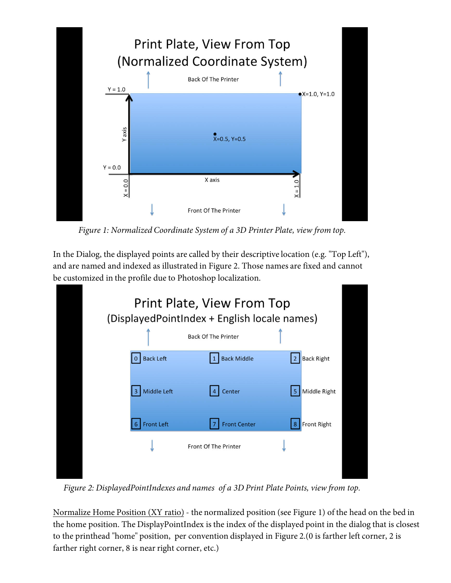

*Figure 1: Normalized Coordinate System of a 3D Printer Plate, view from top.*

In the Dialog, the displayed points are called by their descriptive location (e.g. "Top Left"), and are named and indexed as illustrated in Figure 2. Those names are fixed and cannot be customized in the profile due to Photoshop localization.

| Print Plate, View From Top<br>(DisplayedPointIndex + English locale names) |                            |                                     |
|----------------------------------------------------------------------------|----------------------------|-------------------------------------|
|                                                                            | <b>Back Of The Printer</b> |                                     |
| <b>Back Left</b>                                                           | <b>Back Middle</b>         | <b>Back Right</b><br>$\overline{2}$ |
| Middle Left<br>3 <sup>1</sup>                                              | Center<br>$\overline{4}$   | Middle Right<br>5                   |
| <b>Front Left</b>                                                          | <b>Front Center</b>        | Front Right<br>8                    |
|                                                                            | Front Of The Printer       |                                     |
|                                                                            |                            |                                     |

*Figure 2: DisplayedPointIndexes and names of a 3D Print Plate Points, view from top.*

Normalize Home Position (XY ratio) - the normalized position (see Figure 1) of the head on the bed in the home position. The DisplayPointIndex is the index of the displayed point in the dialog that is closest to the printhead "home" position, per convention displayed in Figure 2.(0 is farther left corner, 2 is farther right corner, 8 is near right corner, etc.)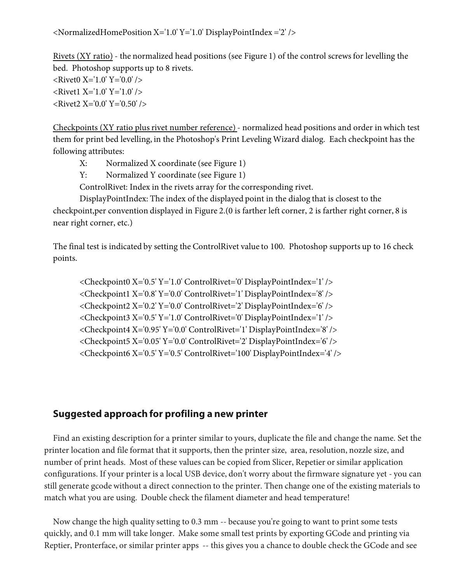<NormalizedHomePosition X='1.0' Y='1.0' DisplayPointIndex ='2' />

Rivets (XY ratio) - the normalized head positions (see Figure 1) of the control screws for levelling the bed. Photoshop supports up to 8 rivets.

 $\langle$ Rivet0 X='1.0' Y='0.0' />  $\langle$ Rivet1 X='1.0' Y='1.0' /> <Rivet2 X='0.0' Y='0.50' />

Checkpoints (XY ratio plus rivet number reference) - normalized head positions and order in which test them for print bed levelling, in the Photoshop's Print Leveling Wizard dialog. Each checkpoint has the following attributes:

X: Normalized X coordinate (see Figure 1)

Y: Normalized Y coordinate (see Figure 1)

ControlRivet: Index in the rivets array for the corresponding rivet.

DisplayPointIndex: The index of the displayed point in the dialog that is closest to the checkpoint,per convention displayed in Figure 2.(0 is farther left corner, 2 is farther right corner, 8 is near right corner, etc.)

The final test is indicated by setting the ControlRivet value to 100. Photoshop supports up to 16 check points.

<Checkpoint0 X='0.5' Y='1.0' ControlRivet='0' DisplayPointIndex='1' /> <Checkpoint1 X='0.8' Y='0.0' ControlRivet='1' DisplayPointIndex='8' /> <Checkpoint2 X='0.2' Y='0.0' ControlRivet='2' DisplayPointIndex='6' /> <Checkpoint3 X='0.5' Y='1.0' ControlRivet='0' DisplayPointIndex='1' /> <Checkpoint4 X='0.95' Y='0.0' ControlRivet='1' DisplayPointIndex='8' /> <Checkpoint5 X='0.05' Y='0.0' ControlRivet='2' DisplayPointIndex='6' /> <Checkpoint6 X='0.5' Y='0.5' ControlRivet='100' DisplayPointIndex='4' />

#### **Suggested approach for profiling a new printer**

Find an existing description for a printer similar to yours, duplicate the file and change the name. Set the printer location and file format that it supports, then the printer size, area, resolution, nozzle size, and number of print heads. Most of these values can be copied from Slicer, Repetier or similar application configurations. If your printer is a local USB device, don't worry about the firmware signature yet - you can still generate gcode without a direct connection to the printer. Then change one of the existing materials to match what you are using. Double check the filament diameter and head temperature!

Now change the high quality setting to 0.3 mm -- because you're going to want to print some tests quickly, and 0.1 mm will take longer. Make some small test prints by exporting GCode and printing via Reptier, Pronterface, or similar printer apps -- this gives you a chance to double check the GCode and see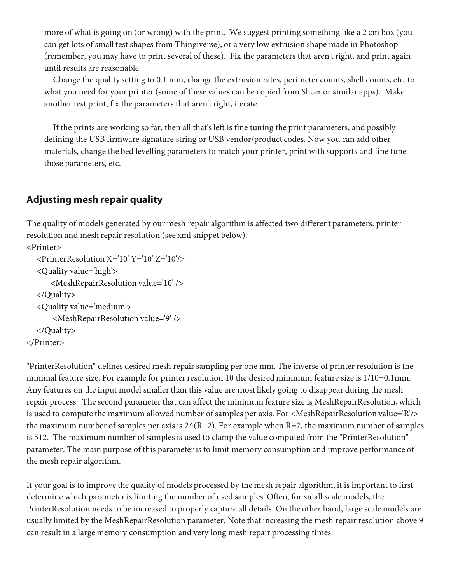more of what is going on (or wrong) with the print. We suggest printing something like a 2 cm box (you can get lots of small test shapes from Thingiverse), or a very low extrusion shape made in Photoshop (remember, you may have to print several of these). Fix the parameters that aren't right, and print again until results are reasonable.

Change the quality setting to 0.1 mm, change the extrusion rates, perimeter counts, shell counts, etc. to what you need for your printer (some of these values can be copied from Slicer or similar apps). Make another test print, fix the parameters that aren't right, iterate.

If the prints are working so far, then all that's left is fine tuning the print parameters, and possibly defining the USB firmware signature string or USB vendor/product codes. Now you can add other materials, change the bed levelling parameters to match your printer, print with supports and fine tune those parameters, etc.

## **Adjusting mesh repair quality**

The quality of models generated by our mesh repair algorithm is affected two different parameters: printer resolution and mesh repair resolution (see xml snippet below):

```
<Printer> 
   <PrinterResolution X='10' Y='10' Z='10'/>
   <Quality value='high'>
       <MeshRepairResolution value='10' />
   </Quality>
   <Quality value='medium'>
        <MeshRepairResolution value='9' />
   </Quality>
</Printer>
```
"PrinterResolution" defines desired mesh repair sampling per one mm. The inverse of printer resolution is the minimal feature size. For example for printer resolution 10 the desired minimum feature size is 1/10=0.1mm. Any features on the input model smaller than this value are most likely going to disappear during the mesh repair process. The second parameter that can affect the minimum feature size is MeshRepairResolution, which is used to compute the maximum allowed number of samples per axis. For <MeshRepairResolution value='R'/> the maximum number of samples per axis is  $2^{\wedge}(R+2)$ . For example when R=7, the maximum number of samples is 512. The maximum number of samples is used to clamp the value computed from the "PrinterResolution" parameter. The main purpose of this parameter is to limit memory consumption and improve performance of the mesh repair algorithm.

If your goal is to improve the quality of models processed by the mesh repair algorithm, it is important to first determine which parameter is limiting the number of used samples. Often, for small scale models, the PrinterResolution needs to be increased to properly capture all details. On the other hand, large scale models are usually limited by the MeshRepairResolution parameter. Note that increasing the mesh repair resolution above 9 can result in a large memory consumption and very long mesh repair processing times.